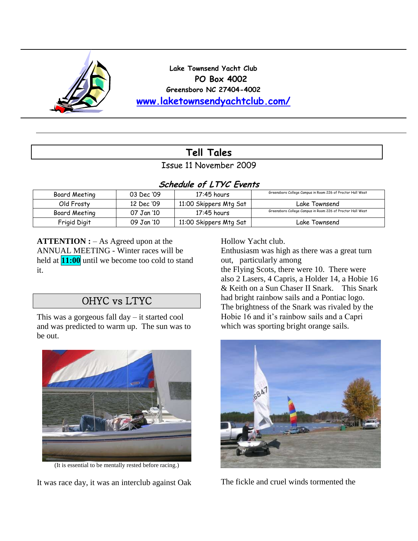

**Lake Townsend Yacht Club PO Box 4002 Greensboro NC 27404-4002 [www.laketownsendyachtclub.com/](http://www.laketownsendyachtclub.com/)**

# **Tell Tales**

Issue 11 November 2009

### **Schedule of LTYC Events**

| Board Meeting | 03 Dec '09 | $17:45$ hours          | Greensboro College Campus in Room 226 of Proctor Hall West |
|---------------|------------|------------------------|------------------------------------------------------------|
| Old Frosty    | 12 Dec '09 | 11:00 Skippers Mtg Sat | Lake Townsend                                              |
| Board Meeting | 07 Jan '10 | 17:45 hours            | Greensboro College Campus in Room 226 of Proctor Hall West |
| Frigid Digit  | 09 Jan '10 | 11:00 Skippers Mtg Sat | Lake Townsend                                              |

**ATTENTION :** – As Agreed upon at the ANNUAL MEETING - Winter races will be held at **11:00** until we become too cold to stand it.

## OHYC vs LTYC

This was a gorgeous fall day – it started cool and was predicted to warm up. The sun was to be out.



(It is essential to be mentally rested before racing.)

It was race day, it was an interclub against Oak

Hollow Yacht club.

Enthusiasm was high as there was a great turn out, particularly among

the Flying Scots, there were 10. There were also 2 Lasers, 4 Capris, a Holder 14, a Hobie 16 & Keith on a Sun Chaser II Snark. This Snark had bright rainbow sails and a Pontiac logo. The brightness of the Snark was rivaled by the Hobie 16 and it's rainbow sails and a Capri which was sporting bright orange sails.



The fickle and cruel winds tormented the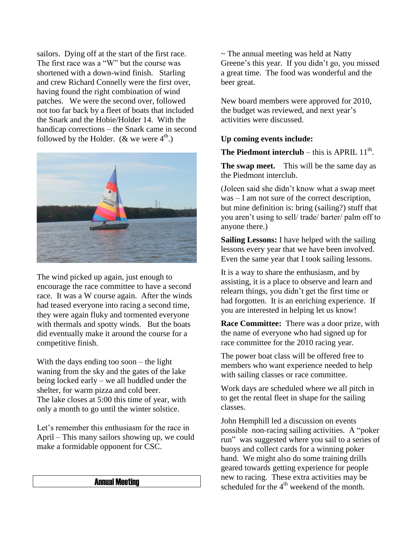sailors. Dying off at the start of the first race. The first race was a "W" but the course was shortened with a down-wind finish. Starling and crew Richard Connelly were the first over, having found the right combination of wind patches. We were the second over, followed not too far back by a fleet of boats that included the Snark and the Hobie/Holder 14. With the handicap corrections – the Snark came in second followed by the Holder. ( $\&$  we were  $4^{\text{th}}$ .)



The wind picked up again, just enough to encourage the race committee to have a second race. It was a W course again. After the winds had teased everyone into racing a second time, they were again fluky and tormented everyone with thermals and spotty winds. But the boats did eventually make it around the course for a competitive finish.

With the days ending too soon – the light waning from the sky and the gates of the lake being locked early – we all huddled under the shelter, for warm pizza and cold beer. The lake closes at 5:00 this time of year, with only a month to go until the winter solstice.

Let's remember this enthusiasm for the race in April – This many sailors showing up, we could make a formidable opponent for CSC.

#### Annual Meeting

 $\sim$  The annual meeting was held at Natty Greene's this year. If you didn't go, you missed a great time. The food was wonderful and the beer great.

New board members were approved for 2010, the budget was reviewed, and next year's activities were discussed.

#### **Up coming events include:**

**The Piedmont interclub** – this is APRIL  $11<sup>th</sup>$ .

**The swap meet.** This will be the same day as the Piedmont interclub.

(Joleen said she didn't know what a swap meet was – I am not sure of the correct description, but mine definition is: bring (sailing?) stuff that you aren't using to sell/ trade/ barter/ palm off to anyone there.)

**Sailing Lessons:** I have helped with the sailing lessons every year that we have been involved. Even the same year that I took sailing lessons.

It is a way to share the enthusiasm, and by assisting, it is a place to observe and learn and relearn things, you didn't get the first time or had forgotten. It is an enriching experience. If you are interested in helping let us know!

**Race Committee:** There was a door prize, with the name of everyone who had signed up for race committee for the 2010 racing year.

The power boat class will be offered free to members who want experience needed to help with sailing classes or race committee.

Work days are scheduled where we all pitch in to get the rental fleet in shape for the sailing classes.

John Hemphill led a discussion on events possible non-racing sailing activities. A "poker run" was suggested where you sail to a series of buoys and collect cards for a winning poker hand. We might also do some training drills geared towards getting experience for people new to racing. These extra activities may be scheduled for the  $4<sup>th</sup>$  weekend of the month.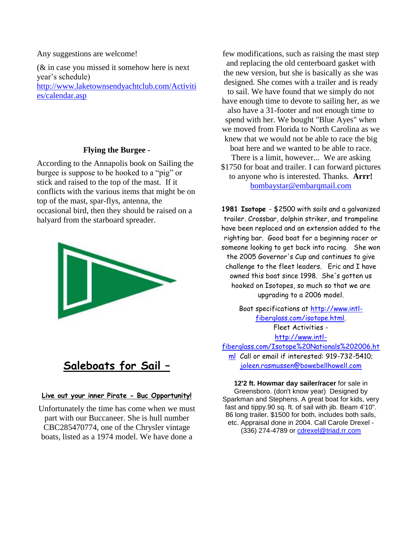Any suggestions are welcome!

(& in case you missed it somehow here is next year's schedule) [http://www.laketownsendyachtclub.com/Activiti](http://www.laketownsendyachtclub.com/Activities/calendar.asp) [es/calendar.asp](http://www.laketownsendyachtclub.com/Activities/calendar.asp)

### **Flying the Burgee -**

According to the Annapolis book on Sailing the burgee is suppose to be hooked to a "pig" or stick and raised to the top of the mast. If it conflicts with the various items that might be on top of the mast, spar-flys, antenna, the occasional bird, then they should be raised on a halyard from the starboard spreader.



## **Saleboats for Sail –**

#### **Live out your inner Pirate - Buc Opportunity!**

Unfortunately the time has come when we must part with our Buccaneer. She is hull number CBC285470774, one of the Chrysler vintage boats, listed as a 1974 model. We have done a

few modifications, such as raising the mast step and replacing the old centerboard gasket with the new version, but she is basically as she was designed. She comes with a trailer and is ready to sail. We have found that we simply do not have enough time to devote to sailing her, as we also have a 31-footer and not enough time to spend with her. We bought "Blue Ayes" when we moved from Florida to North Carolina as we knew that we would not be able to race the big boat here and we wanted to be able to race. There is a limit, however... We are asking \$1750 for boat and trailer. I can forward pictures to anyone who is interested. Thanks. **Arrr!**  [bombaystar@embarqmail.com](mailto:bombaystar@embarqmail.com)

**1981 Isotope** - \$2500 with sails and a galvanized trailer. Crossbar, dolphin striker, and trampoline have been replaced and an extension added to the righting bar. Good boat for a beginning racer or someone looking to get back into racing. She won the 2005 Governor's Cup and continues to give challenge to the fleet leaders. Eric and I have owned this boat since 1998. She's gotten us hooked on Isotopes, so much so that we are upgrading to a 2006 model.

Boat specifications at [http://www.intl](http://www.intl-fiberglass.com/isotope.html)[fiberglass.com/isotope.html.](http://www.intl-fiberglass.com/isotope.html) Fleet Activities [http://www.intl](http://www.intl-fiberglass.com/Isotope%20Nationals%202006.html)[fiberglass.com/Isotope%20Nationals%202006.ht](http://www.intl-fiberglass.com/Isotope%20Nationals%202006.html)

[ml](http://www.intl-fiberglass.com/Isotope%20Nationals%202006.html) Call or email if interested: 919-732-5410; [joleen.rasmussen@bowebellhowell.com](mailto:joleen.rasmussen@bowebellhowell.com)

**12'2 ft. Howmar day sailer/racer** for sale in Greensboro. (don't know year) Designed by Sparkman and Stephens. A great boat for kids, very fast and tippy.90 sq. ft. of sail with jib. Beam 4'10". 86 long trailer. \$1500 for both, includes both sails, etc. Appraisal done in 2004. Call Carole Drexel - (336) 274-4789 or [cdrexel@triad.rr.com](mailto:cdrexel@triad.rr.com)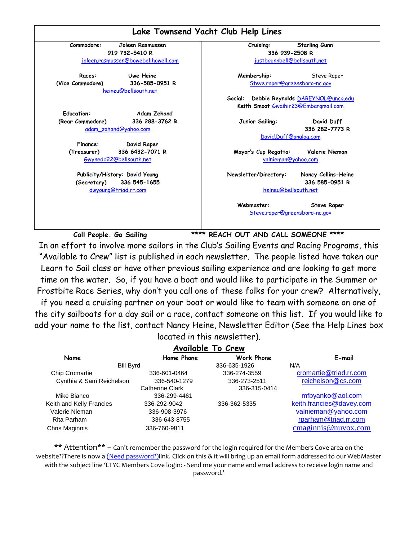

**Call People. Go Sailing \*\*\*\* REACH OUT AND CALL SOMEONE \*\*\*\*** In an effort to involve more sailors in the Club"s Sailing Events and Racing Programs, this "Available to Crew" list is published in each newsletter. The people listed have taken our Learn to Sail class or have other previous sailing experience and are looking to get more time on the water. So, if you have a boat and would like to participate in the Summer or Frostbite Race Series, why don"t you call one of these folks for your crew? Alternatively, if you need a cruising partner on your boat or would like to team with someone on one of the city sailboats for a day sail or a race, contact someone on this list. If you would like to add your name to the list, contact Nancy Heine, Newsletter Editor (See the Help Lines box

|                          |                 | <b>POCATCA IN THIS NOWSICTION.</b> |                          |  |  |  |  |  |  |  |  |
|--------------------------|-----------------|------------------------------------|--------------------------|--|--|--|--|--|--|--|--|
| Available To Crew        |                 |                                    |                          |  |  |  |  |  |  |  |  |
| Name                     | Home Phone      | Work Phone                         | E-mail                   |  |  |  |  |  |  |  |  |
| <b>Bill Byrd</b>         |                 | 336-635-1926                       | N/A                      |  |  |  |  |  |  |  |  |
| <b>Chip Cromartie</b>    | 336-601-0464    | 336-274-3559                       | cromartie@triad.rr.com   |  |  |  |  |  |  |  |  |
| Cynthia & Sam Reichelson | 336-540-1279    | 336-273-2511                       | reichelson@cs.com        |  |  |  |  |  |  |  |  |
|                          | Catherine Clark | 336-315-0414                       |                          |  |  |  |  |  |  |  |  |
| Mike Bianco              | 336-299-4461    |                                    | mfbyanko@aol.com         |  |  |  |  |  |  |  |  |
| Keith and Kelly Francies | 336-292-9042    | 336-362-5335                       | keith.francies@davey.com |  |  |  |  |  |  |  |  |
| Valerie Nieman           | 336-908-3976    |                                    | valnieman@yahoo.com      |  |  |  |  |  |  |  |  |
| Rita Parham              | 336-643-8755    |                                    | rparham@triad.rr.com     |  |  |  |  |  |  |  |  |
| <b>Chris Maginnis</b>    | 336-760-9811    |                                    | cmaginnis@nuvox.com      |  |  |  |  |  |  |  |  |

located in this newsletter).

\*\* Attention\*\* – Can't remember the password for the login required for the Members Cove area on the website??There is now a (Need password?)link. Click on this & it will bring up an email form addressed to our WebMaster with the subject line 'LTYC Members Cove login: - Send me your name and email address to receive login name and password.'